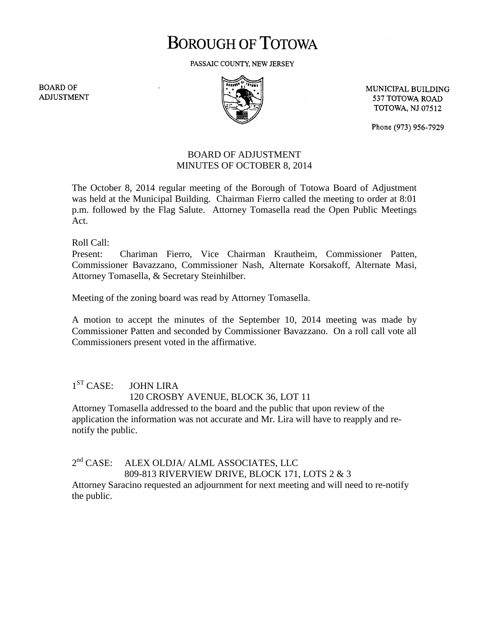# **BOROUGH OF TOTOWA**

PASSAIC COUNTY, NEW JERSEY

**BOARD OF ADJUSTMENT** 



MUNICIPAL BUILDING 537 TOTOWA ROAD TOTOWA, NJ 07512

Phone (973) 956-7929

## BOARD OF ADJUSTMENT MINUTES OF OCTOBER 8, 2014

The October 8, 2014 regular meeting of the Borough of Totowa Board of Adjustment was held at the Municipal Building. Chairman Fierro called the meeting to order at 8:01 p.m. followed by the Flag Salute. Attorney Tomasella read the Open Public Meetings Act.

Roll Call:

Present: Chariman Fierro, Vice Chairman Krautheim, Commissioner Patten, Commissioner Bavazzano, Commissioner Nash, Alternate Korsakoff, Alternate Masi, Attorney Tomasella, & Secretary Steinhilber.

Meeting of the zoning board was read by Attorney Tomasella.

A motion to accept the minutes of the September 10, 2014 meeting was made by Commissioner Patten and seconded by Commissioner Bavazzano. On a roll call vote all Commissioners present voted in the affirmative.

## $1<sup>ST</sup> CASE:$ **JOHN LIRA** 120 CROSBY AVENUE, BLOCK 36, LOT 11

Attorney Tomasella addressed to the board and the public that upon review of the application the information was not accurate and Mr. Lira will have to reapply and renotify the public.

#### $2<sup>nd</sup> CASE:$ ALEX OLDJA/ ALML ASSOCIATES, LLC 809-813 RIVERVIEW DRIVE, BLOCK 171, LOTS 2 & 3

Attorney Saracino requested an adjournment for next meeting and will need to re-notify the public.